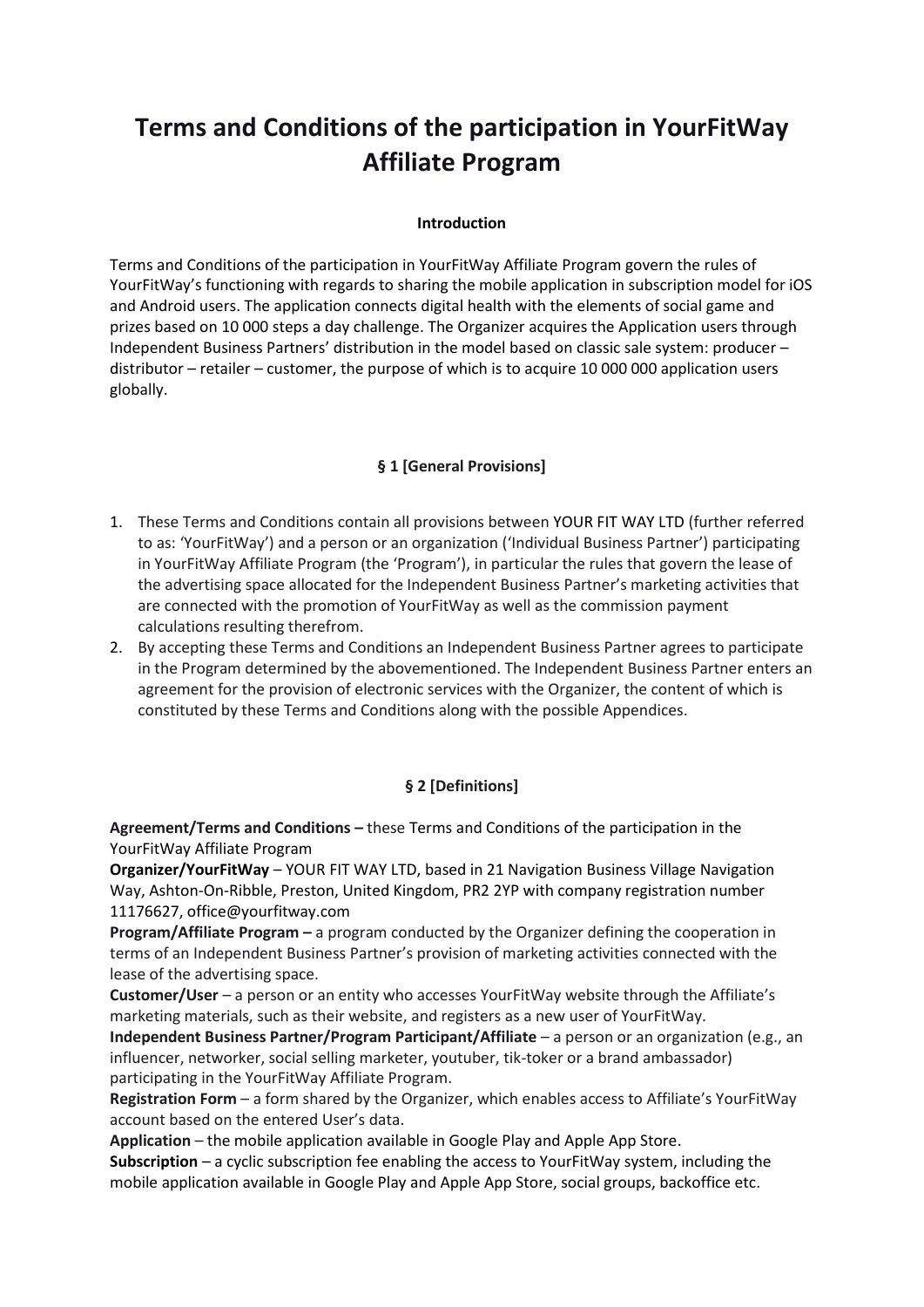# **Terms and Conditions of the participation in YourFitWay Affiliate Program**

#### **Introduction**

Terms and Conditions of the participation in YourFitWay Affiliate Program govern the rules of YourFitWay's functioning with regards to sharing the mobile application in subscription model for iOS and Android users. The application connects digital health with the elements of social game and prizes based on 10 000 steps a day challenge. The Organizer acquires the Application users through Independent Business Partners' distribution in the model based on classic sale system: producer – distributor – retailer – customer, the purpose of which is to acquire 10 000 000 application users globally.

#### **§ 1 [General Provisions]**

- 1. These Terms and Conditions contain all provisions between YOUR FIT WAY LTD (further referred to as: 'YourFitWay') and a person or an organization ('Individual Business Partner') participating in YourFitWay Affiliate Program (the 'Program'), in particular the rules that govern the lease of the advertising space allocated for the Independent Business Partner's marketing activities that are connected with the promotion of YourFitWay as well as the commission payment calculations resulting therefrom.
- 2. By accepting these Terms and Conditions an Independent Business Partner agrees to participate in the Program determined by the abovementioned. The Independent Business Partner enters an agreement for the provision of electronic services with the Organizer, the content of which is constituted by these Terms and Conditions along with the possible Appendices.

## **§ 2 [Definitions]**

**Agreement/Terms and Conditions –** these Terms and Conditions of the participation in the YourFitWay Affiliate Program

**Organizer/YourFitWay** – YOUR FIT WAY LTD, based in 21 Navigation Business Village Navigation Way, Ashton-On-Ribble, Preston, United Kingdom, PR2 2YP with company registration number 11176627, office@yourfitway.com

**Program/Affiliate Program –** a program conducted by the Organizer defining the cooperation in terms of an Independent Business Partner's provision of marketing activities connected with the lease of the advertising space.

**Customer/User** – a person or an entity who accesses YourFitWay website through the Affiliate's marketing materials, such as their website, and registers as a new user of YourFitWay.

**Independent Business Partner/Program Participant/Affiliate** – a person or an organization (e.g., an influencer, networker, social selling marketer, youtuber, tik-toker or a brand ambassador) participating in the YourFitWay Affiliate Program.

**Registration Form** – a form shared by the Organizer, which enables access to Affiliate's YourFitWay account based on the entered User's data.

**Application** – the mobile application available in Google Play and Apple App Store. **Subscription** – a cyclic subscription fee enabling the access to YourFitWay system, including the mobile application available in Google Play and Apple App Store, social groups, backoffice etc.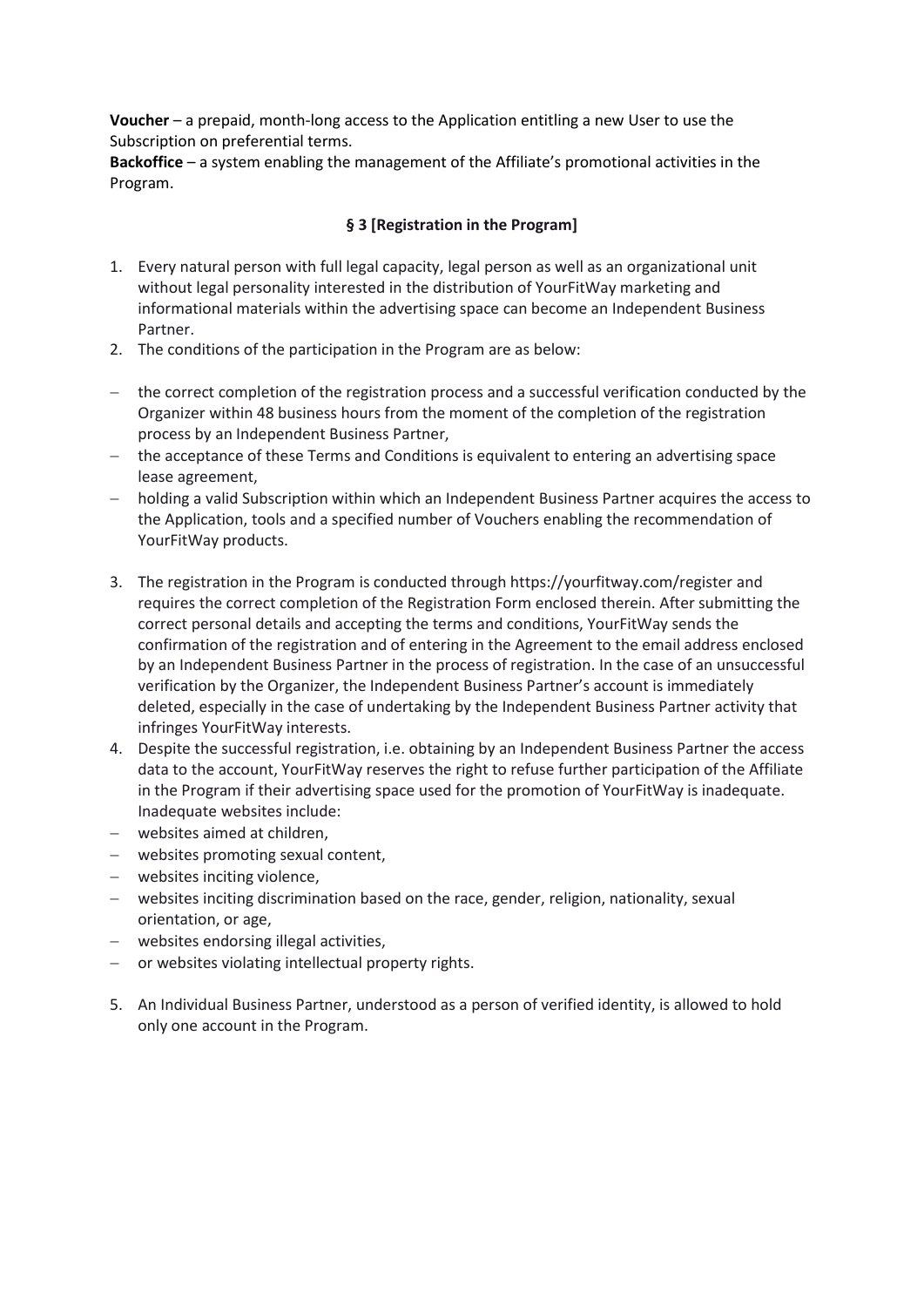**Voucher** – a prepaid, month-long access to the Application entitling a new User to use the Subscription on preferential terms.

**Backoffice** – a system enabling the management of the Affiliate's promotional activities in the Program.

#### **§ 3 [Registration in the Program]**

- 1. Every natural person with full legal capacity, legal person as well as an organizational unit without legal personality interested in the distribution of YourFitWay marketing and informational materials within the advertising space can become an Independent Business Partner.
- 2. The conditions of the participation in the Program are as below:
- − the correct completion of the registration process and a successful verification conducted by the Organizer within 48 business hours from the moment of the completion of the registration process by an Independent Business Partner,
- − the acceptance of these Terms and Conditions is equivalent to entering an advertising space lease agreement,
- − holding a valid Subscription within which an Independent Business Partner acquires the access to the Application, tools and a specified number of Vouchers enabling the recommendation of YourFitWay products.
- 3. The registration in the Program is conducted through<https://yourfitway.com/register> and requires the correct completion of the Registration Form enclosed therein. After submitting the correct personal details and accepting the terms and conditions, YourFitWay sends the confirmation of the registration and of entering in the Agreement to the email address enclosed by an Independent Business Partner in the process of registration. In the case of an unsuccessful verification by the Organizer, the Independent Business Partner's account is immediately deleted, especially in the case of undertaking by the Independent Business Partner activity that infringes YourFitWay interests.
- 4. Despite the successful registration, i.e. obtaining by an Independent Business Partner the access data to the account, YourFitWay reserves the right to refuse further participation of the Affiliate in the Program if their advertising space used for the promotion of YourFitWay is inadequate. Inadequate websites include:
- − websites aimed at children,
- − websites promoting sexual content,
- − websites inciting violence,
- − websites inciting discrimination based on the race, gender, religion, nationality, sexual orientation, or age,
- − websites endorsing illegal activities,
- − or websites violating intellectual property rights.
- 5. An Individual Business Partner, understood as a person of verified identity, is allowed to hold only one account in the Program.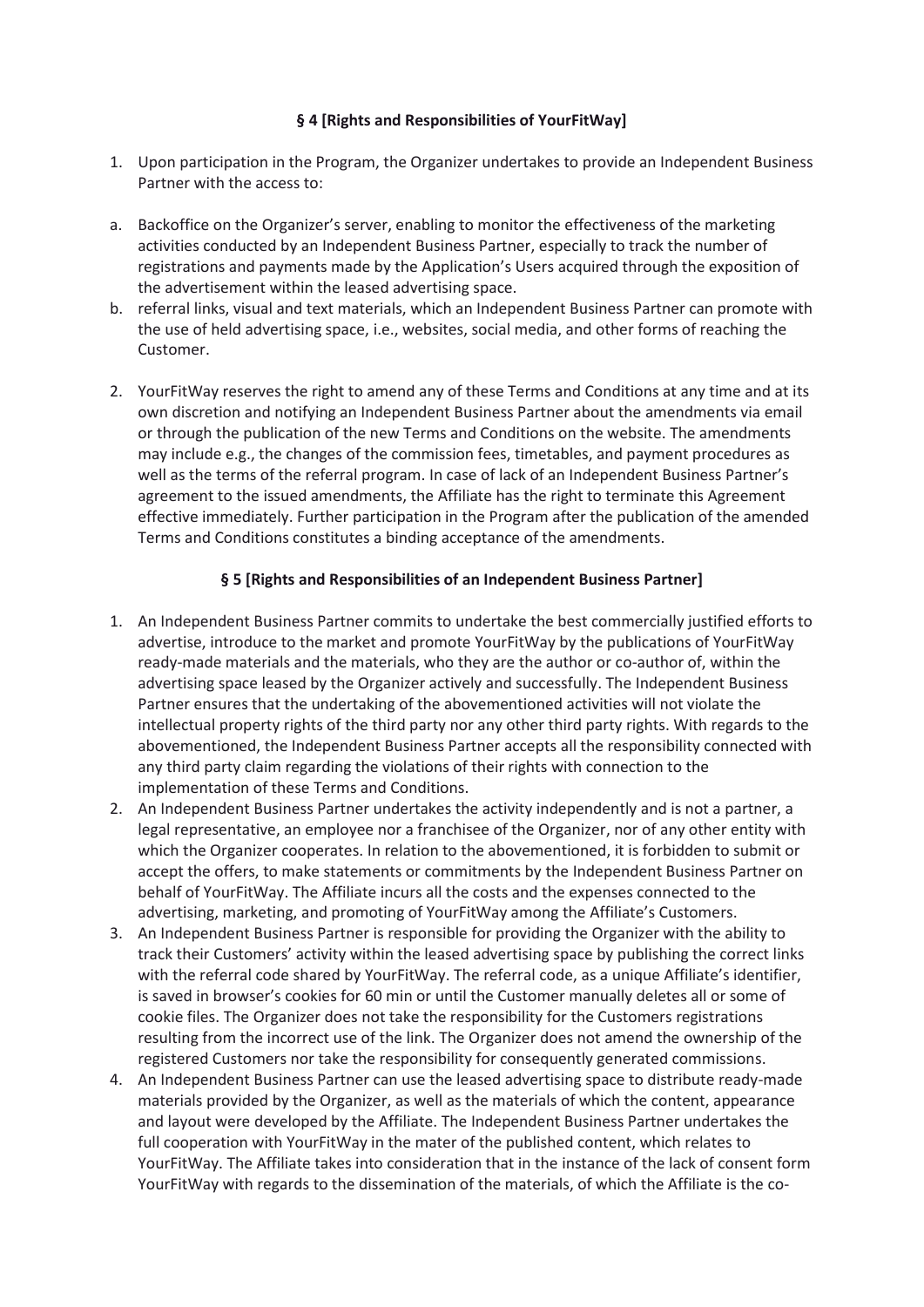#### **§ 4 [Rights and Responsibilities of YourFitWay]**

- 1. Upon participation in the Program, the Organizer undertakes to provide an Independent Business Partner with the access to:
- a. Backoffice on the Organizer's server, enabling to monitor the effectiveness of the marketing activities conducted by an Independent Business Partner, especially to track the number of registrations and payments made by the Application's Users acquired through the exposition of the advertisement within the leased advertising space.
- b. referral links, visual and text materials, which an Independent Business Partner can promote with the use of held advertising space, i.e., websites, social media, and other forms of reaching the Customer.
- 2. YourFitWay reserves the right to amend any of these Terms and Conditions at any time and at its own discretion and notifying an Independent Business Partner about the amendments via email or through the publication of the new Terms and Conditions on the website. The amendments may include e.g., the changes of the commission fees, timetables, and payment procedures as well as the terms of the referral program. In case of lack of an Independent Business Partner's agreement to the issued amendments, the Affiliate has the right to terminate this Agreement effective immediately. Further participation in the Program after the publication of the amended Terms and Conditions constitutes a binding acceptance of the amendments.

#### **§ 5 [Rights and Responsibilities of an Independent Business Partner]**

- 1. An Independent Business Partner commits to undertake the best commercially justified efforts to advertise, introduce to the market and promote YourFitWay by the publications of YourFitWay ready-made materials and the materials, who they are the author or co-author of, within the advertising space leased by the Organizer actively and successfully. The Independent Business Partner ensures that the undertaking of the abovementioned activities will not violate the intellectual property rights of the third party nor any other third party rights. With regards to the abovementioned, the Independent Business Partner accepts all the responsibility connected with any third party claim regarding the violations of their rights with connection to the implementation of these Terms and Conditions.
- 2. An Independent Business Partner undertakes the activity independently and is not a partner, a legal representative, an employee nor a franchisee of the Organizer, nor of any other entity with which the Organizer cooperates. In relation to the abovementioned, it is forbidden to submit or accept the offers, to make statements or commitments by the Independent Business Partner on behalf of YourFitWay. The Affiliate incurs all the costs and the expenses connected to the advertising, marketing, and promoting of YourFitWay among the Affiliate's Customers.
- 3. An Independent Business Partner is responsible for providing the Organizer with the ability to track their Customers' activity within the leased advertising space by publishing the correct links with the referral code shared by YourFitWay. The referral code, as a unique Affiliate's identifier, is saved in browser's cookies for 60 min or until the Customer manually deletes all or some of cookie files. The Organizer does not take the responsibility for the Customers registrations resulting from the incorrect use of the link. The Organizer does not amend the ownership of the registered Customers nor take the responsibility for consequently generated commissions.
- 4. An Independent Business Partner can use the leased advertising space to distribute ready-made materials provided by the Organizer, as well as the materials of which the content, appearance and layout were developed by the Affiliate. The Independent Business Partner undertakes the full cooperation with YourFitWay in the mater of the published content, which relates to YourFitWay. The Affiliate takes into consideration that in the instance of the lack of consent form YourFitWay with regards to the dissemination of the materials, of which the Affiliate is the co-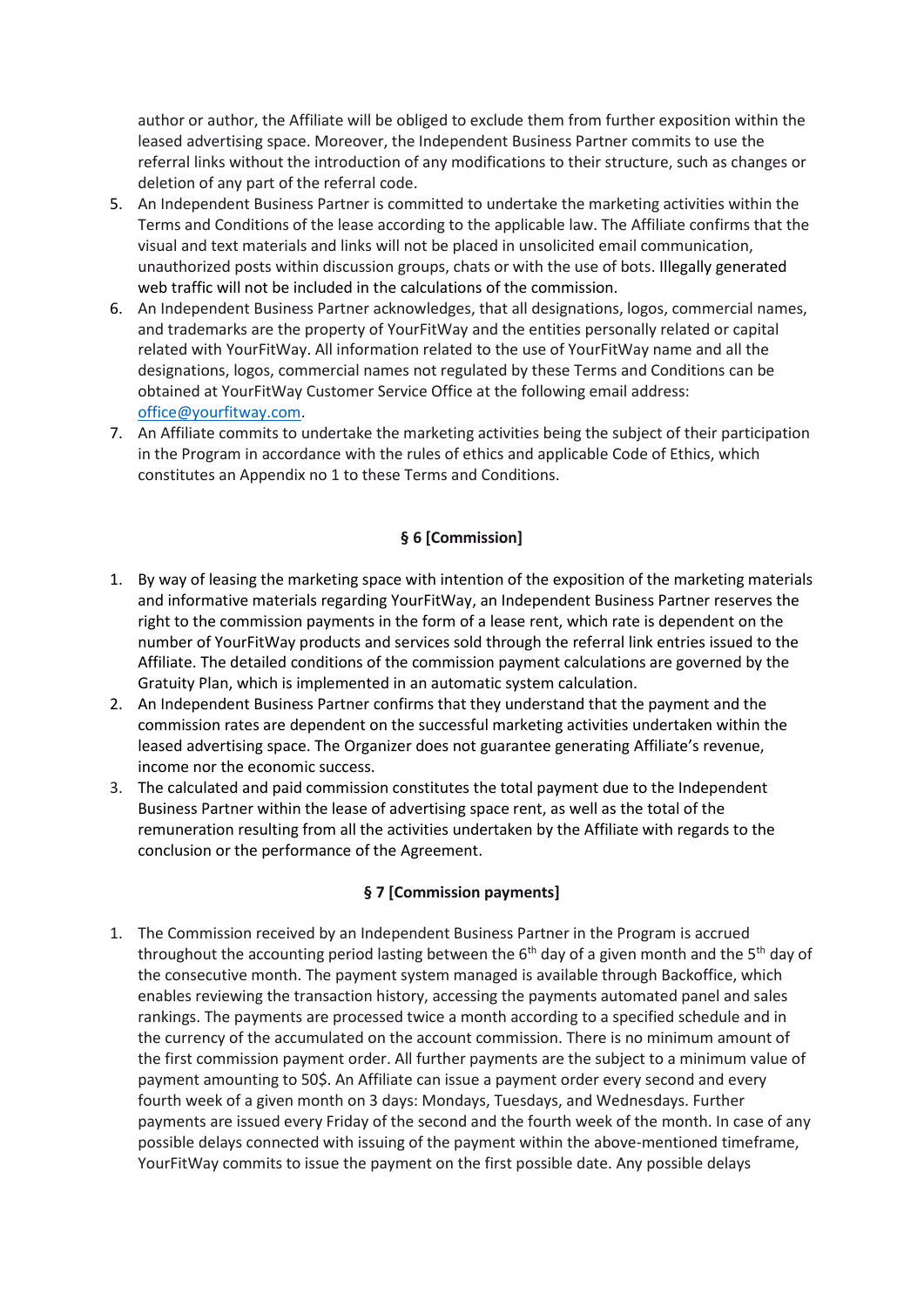author or author, the Affiliate will be obliged to exclude them from further exposition within the leased advertising space. Moreover, the Independent Business Partner commits to use the referral links without the introduction of any modifications to their structure, such as changes or deletion of any part of the referral code.

- 5. An Independent Business Partner is committed to undertake the marketing activities within the Terms and Conditions of the lease according to the applicable law. The Affiliate confirms that the visual and text materials and links will not be placed in unsolicited email communication, unauthorized posts within discussion groups, chats or with the use of bots. Illegally generated web traffic will not be included in the calculations of the commission.
- 6. An Independent Business Partner acknowledges, that all designations, logos, commercial names, and trademarks are the property of YourFitWay and the entities personally related or capital related with YourFitWay. All information related to the use of YourFitWay name and all the designations, logos, commercial names not regulated by these Terms and Conditions can be obtained at YourFitWay Customer Service Office at the following email address: [office@yourfitway.com.](mailto:office@yourfitway.com)
- 7. An Affiliate commits to undertake the marketing activities being the subject of their participation in the Program in accordance with the rules of ethics and applicable Code of Ethics, which constitutes an Appendix no 1 to these Terms and Conditions.

#### **§ 6 [Commission]**

- 1. By way of leasing the marketing space with intention of the exposition of the marketing materials and informative materials regarding YourFitWay, an Independent Business Partner reserves the right to the commission payments in the form of a lease rent, which rate is dependent on the number of YourFitWay products and services sold through the referral link entries issued to the Affiliate. The detailed conditions of the commission payment calculations are governed by the Gratuity Plan, which is implemented in an automatic system calculation.
- 2. An Independent Business Partner confirms that they understand that the payment and the commission rates are dependent on the successful marketing activities undertaken within the leased advertising space. The Organizer does not guarantee generating Affiliate's revenue, income nor the economic success.
- 3. The calculated and paid commission constitutes the total payment due to the Independent Business Partner within the lease of advertising space rent, as well as the total of the remuneration resulting from all the activities undertaken by the Affiliate with regards to the conclusion or the performance of the Agreement.

#### **§ 7 [Commission payments]**

1. The Commission received by an Independent Business Partner in the Program is accrued throughout the accounting period lasting between the  $6<sup>th</sup>$  day of a given month and the  $5<sup>th</sup>$  day of the consecutive month. The payment system managed is available through Backoffice, which enables reviewing the transaction history, accessing the payments automated panel and sales rankings. The payments are processed twice a month according to a specified schedule and in the currency of the accumulated on the account commission. There is no minimum amount of the first commission payment order. All further payments are the subject to a minimum value of payment amounting to 50\$. An Affiliate can issue a payment order every second and every fourth week of a given month on 3 days: Mondays, Tuesdays, and Wednesdays. Further payments are issued every Friday of the second and the fourth week of the month. In case of any possible delays connected with issuing of the payment within the above-mentioned timeframe, YourFitWay commits to issue the payment on the first possible date. Any possible delays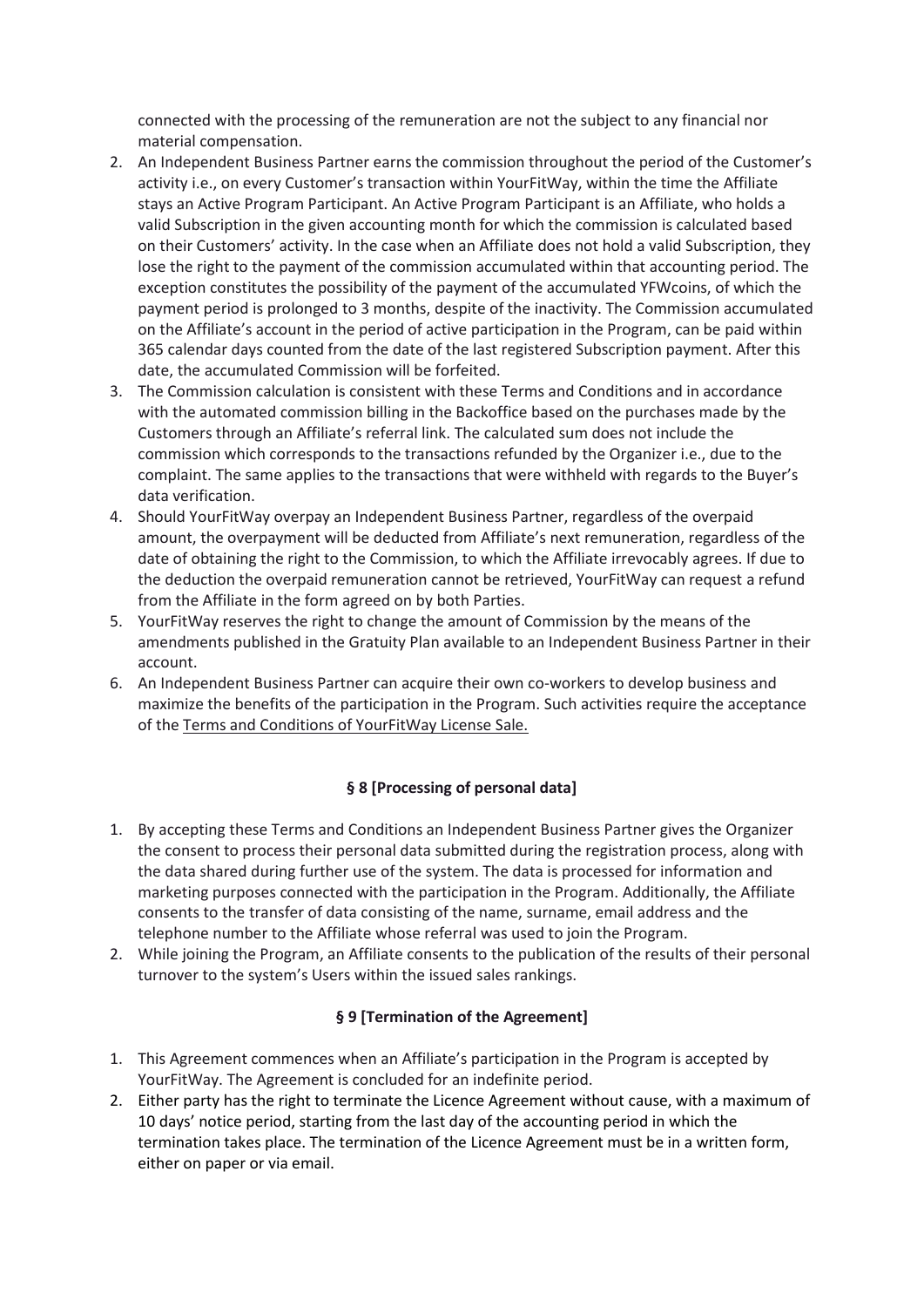connected with the processing of the remuneration are not the subject to any financial nor material compensation.

- 2. An Independent Business Partner earns the commission throughout the period of the Customer's activity i.e., on every Customer's transaction within YourFitWay, within the time the Affiliate stays an Active Program Participant. An Active Program Participant is an Affiliate, who holds a valid Subscription in the given accounting month for which the commission is calculated based on their Customers' activity. In the case when an Affiliate does not hold a valid Subscription, they lose the right to the payment of the commission accumulated within that accounting period. The exception constitutes the possibility of the payment of the accumulated YFWcoins, of which the payment period is prolonged to 3 months, despite of the inactivity. The Commission accumulated on the Affiliate's account in the period of active participation in the Program, can be paid within 365 calendar days counted from the date of the last registered Subscription payment. After this date, the accumulated Commission will be forfeited.
- 3. The Commission calculation is consistent with these Terms and Conditions and in accordance with the automated commission billing in the Backoffice based on the purchases made by the Customers through an Affiliate's referral link. The calculated sum does not include the commission which corresponds to the transactions refunded by the Organizer i.e., due to the complaint. The same applies to the transactions that were withheld with regards to the Buyer's data verification.
- 4. Should YourFitWay overpay an Independent Business Partner, regardless of the overpaid amount, the overpayment will be deducted from Affiliate's next remuneration, regardless of the date of obtaining the right to the Commission, to which the Affiliate irrevocably agrees. If due to the deduction the overpaid remuneration cannot be retrieved, YourFitWay can request a refund from the Affiliate in the form agreed on by both Parties.
- 5. YourFitWay reserves the right to change the amount of Commission by the means of the amendments published in the Gratuity Plan available to an Independent Business Partner in their account.
- 6. An Independent Business Partner can acquire their own co-workers to develop business and maximize the benefits of the participation in the Program. Such activities require the acceptance of the Terms and Conditions of YourFitWay License Sale.

## **§ 8 [Processing of personal data]**

- 1. By accepting these Terms and Conditions an Independent Business Partner gives the Organizer the consent to process their personal data submitted during the registration process, along with the data shared during further use of the system. The data is processed for information and marketing purposes connected with the participation in the Program. Additionally, the Affiliate consents to the transfer of data consisting of the name, surname, email address and the telephone number to the Affiliate whose referral was used to join the Program.
- 2. While joining the Program, an Affiliate consents to the publication of the results of their personal turnover to the system's Users within the issued sales rankings.

#### **§ 9 [Termination of the Agreement]**

- 1. This Agreement commences when an Affiliate's participation in the Program is accepted by YourFitWay. The Agreement is concluded for an indefinite period.
- 2. Either party has the right to terminate the Licence Agreement without cause, with a maximum of 10 days' notice period, starting from the last day of the accounting period in which the termination takes place. The termination of the Licence Agreement must be in a written form, either on paper or via email.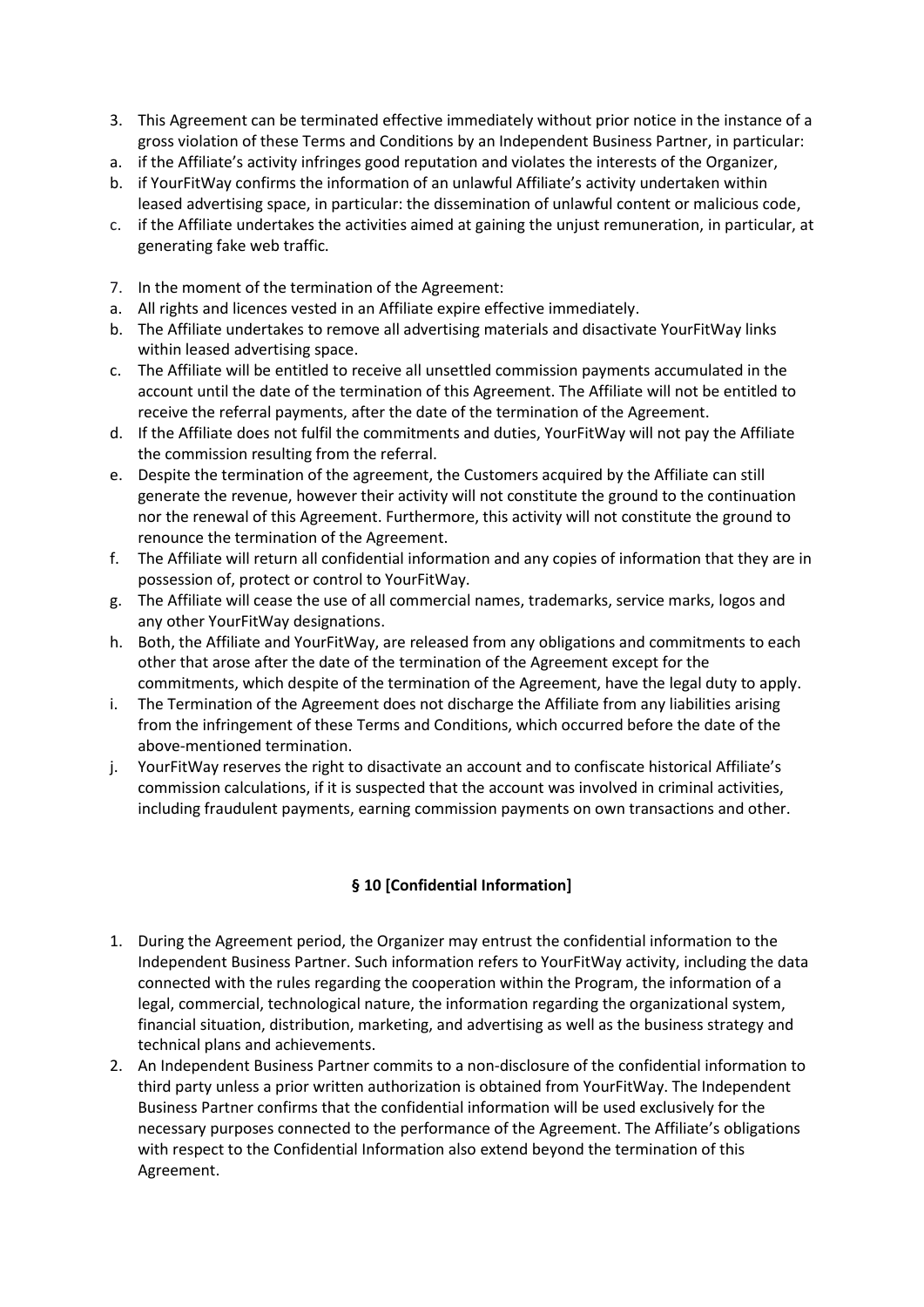- 3. This Agreement can be terminated effective immediately without prior notice in the instance of a gross violation of these Terms and Conditions by an Independent Business Partner, in particular:
- a. if the Affiliate's activity infringes good reputation and violates the interests of the Organizer,
- b. if YourFitWay confirms the information of an unlawful Affiliate's activity undertaken within leased advertising space, in particular: the dissemination of unlawful content or malicious code,
- c. if the Affiliate undertakes the activities aimed at gaining the unjust remuneration, in particular, at generating fake web traffic.
- 7. In the moment of the termination of the Agreement:
- a. All rights and licences vested in an Affiliate expire effective immediately.
- b. The Affiliate undertakes to remove all advertising materials and disactivate YourFitWay links within leased advertising space.
- c. The Affiliate will be entitled to receive all unsettled commission payments accumulated in the account until the date of the termination of this Agreement. The Affiliate will not be entitled to receive the referral payments, after the date of the termination of the Agreement.
- d. If the Affiliate does not fulfil the commitments and duties, YourFitWay will not pay the Affiliate the commission resulting from the referral.
- e. Despite the termination of the agreement, the Customers acquired by the Affiliate can still generate the revenue, however their activity will not constitute the ground to the continuation nor the renewal of this Agreement. Furthermore, this activity will not constitute the ground to renounce the termination of the Agreement.
- f. The Affiliate will return all confidential information and any copies of information that they are in possession of, protect or control to YourFitWay.
- g. The Affiliate will cease the use of all commercial names, trademarks, service marks, logos and any other YourFitWay designations.
- h. Both, the Affiliate and YourFitWay, are released from any obligations and commitments to each other that arose after the date of the termination of the Agreement except for the commitments, which despite of the termination of the Agreement, have the legal duty to apply.
- i. The Termination of the Agreement does not discharge the Affiliate from any liabilities arising from the infringement of these Terms and Conditions, which occurred before the date of the above-mentioned termination.
- j. YourFitWay reserves the right to disactivate an account and to confiscate historical Affiliate's commission calculations, if it is suspected that the account was involved in criminal activities, including fraudulent payments, earning commission payments on own transactions and other.

#### **§ 10 [Confidential Information]**

- 1. During the Agreement period, the Organizer may entrust the confidential information to the Independent Business Partner. Such information refers to YourFitWay activity, including the data connected with the rules regarding the cooperation within the Program, the information of a legal, commercial, technological nature, the information regarding the organizational system, financial situation, distribution, marketing, and advertising as well as the business strategy and technical plans and achievements.
- 2. An Independent Business Partner commits to a non-disclosure of the confidential information to third party unless a prior written authorization is obtained from YourFitWay. The Independent Business Partner confirms that the confidential information will be used exclusively for the necessary purposes connected to the performance of the Agreement. The Affiliate's obligations with respect to the Confidential Information also extend beyond the termination of this Agreement.